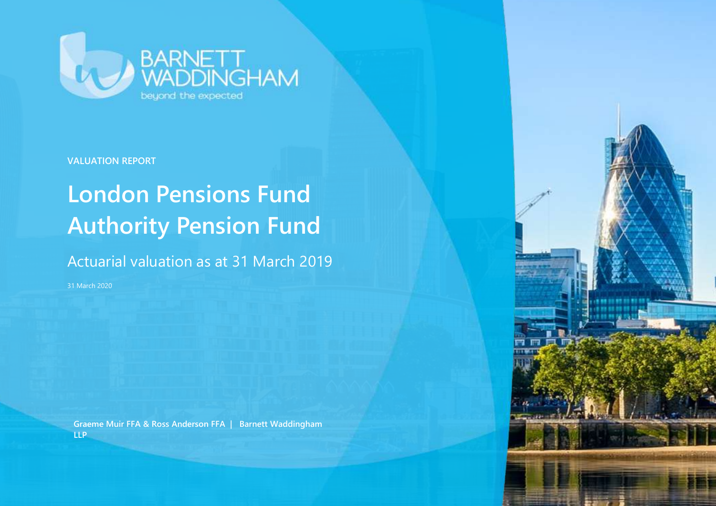

**VALUATION REPORT**

### **London Pensions Fund Authority Pension Fund**

Actuarial valuation as at 31 March 2019

31 March 2020

**Graeme Muir FFA & Ross Anderson FFA | Barnett Waddingham LLP**

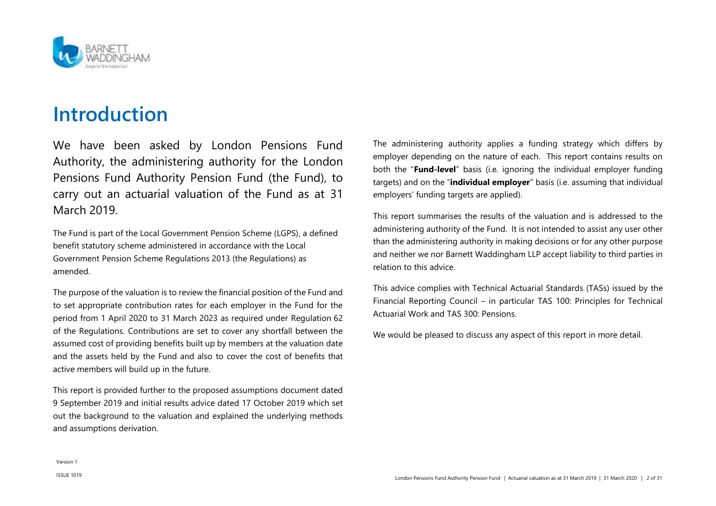

### **Introduction**

We have been asked by London Pensions Fund Authority, the administering authority for the London Pensions Fund Authority Pension Fund (the Fund), to carry out an actuarial valuation of the Fund as at 31 March 2019.

The Fund is part of the Local Government Pension Scheme (LGPS), a defined benefit statutory scheme administered in accordance with the Local Government Pension Scheme Regulations 2013 (the Regulations) as amended.

The purpose of the valuation is to review the financial position of the Fund and to set appropriate contribution rates for each employer in the Fund for the period from 1 April 2020 to 31 March 2023 as required under Regulation 62 of the Regulations. Contributions are set to cover any shortfall between the assumed cost of providing benefits built up by members at the valuation date and the assets held by the Fund and also to cover the cost of benefits that active members will build up in the future.

This report is provided further to the proposed assumptions document dated 9 September 2019 and initial results advice dated 17 October 2019 which set out the background to the valuation and explained the underlying methods and assumptions derivation.

The administering authority applies a funding strategy which differs by employer depending on the nature of each. This report contains results on both the "**Fund-level**" basis (i.e. ignoring the individual employer funding targets) and on the "**individual employer**" basis (i.e. assuming that individual employers' funding targets are applied).

This report summarises the results of the valuation and is addressed to the administering authority of the Fund. It is not intended to assist any user other than the administering authority in making decisions or for any other purpose and neither we nor Barnett Waddingham LLP accept liability to third parties in relation to this advice.

This advice complies with Technical Actuarial Standards (TASs) issued by the Financial Reporting Council – in particular TAS 100: Principles for Technical Actuarial Work and TAS 300: Pensions.

We would be pleased to discuss any aspect of this report in more detail.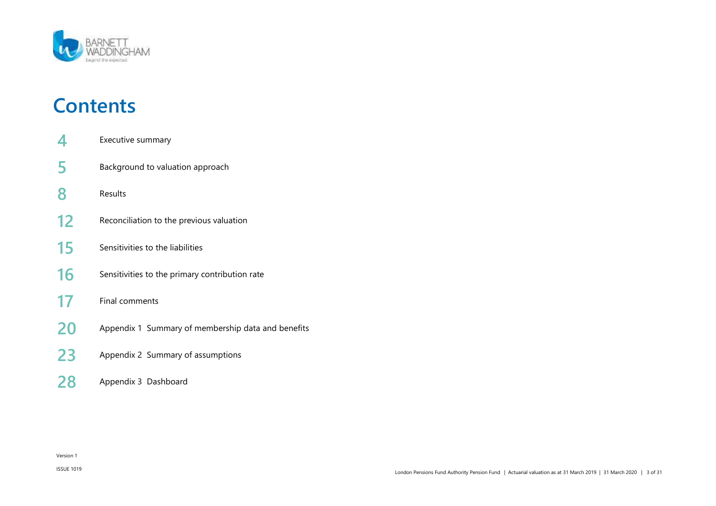

### **Contents**

- [Executive summary](#page-3-0)
- [Background to valuation approach](#page-4-0)
- [Results](#page-7-0)
- [Reconciliation to the previous valuation](#page-11-0)
- Sensitivities [to the liabilities](#page-14-0)
- Sensitivities [to the primary contribution rate](#page-15-0)
- [Final comments](#page-16-0)
- [Appendix 1 Summary of membership data](#page-19-0) and benefits
- [Appendix 2 Summary of assumptions](#page-22-0)
- [Appendix 3 Dashboard](#page-27-0)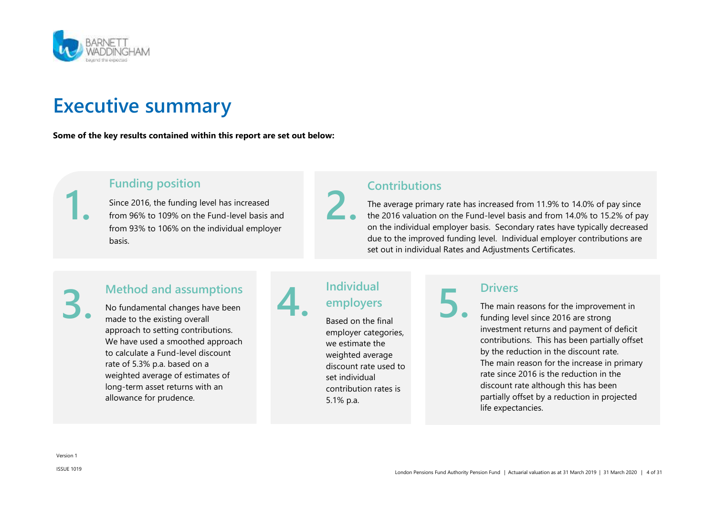

### <span id="page-3-0"></span>**Executive summary**

**Some of the key results contained within this report are set out below:**



### **Funding position**

Since 2016, the funding level has increased from 96% to 109% on the Fund-level basis and from 93% to 106% on the individual employer basis.

### **Contributions**

The average primary rate has increased from 11.9% to 14.0% of pay since the 2016 valuation on the Fund-level basis and from 14.0% to 15.2% of pay on the individual employer basis. Secondary rates have typically decreased due to the improved funding level. Individual employer contributions are set out in individual Rates and Adjustments Certificates.

## **3.**

### **Method and assumptions**

No fundamental changes have been made to the existing overall approach to setting contributions. We have used a smoothed approach to calculate a Fund-level discount rate of 5.3% p.a. based on a weighted average of estimates of long-term asset returns with an allowance for prudence.

### **Individual employers**

**4.**

**2.**

Based on the final employer categories, we estimate the weighted average discount rate used to set individual contribution rates is 5.1% p.a.

### **Drivers**

**5.**

The main reasons for the improvement in funding level since 2016 are strong investment returns and payment of deficit contributions. This has been partially offset by the reduction in the discount rate. The main reason for the increase in primary rate since 2016 is the reduction in the discount rate although this has been partially offset by a reduction in projected life expectancies.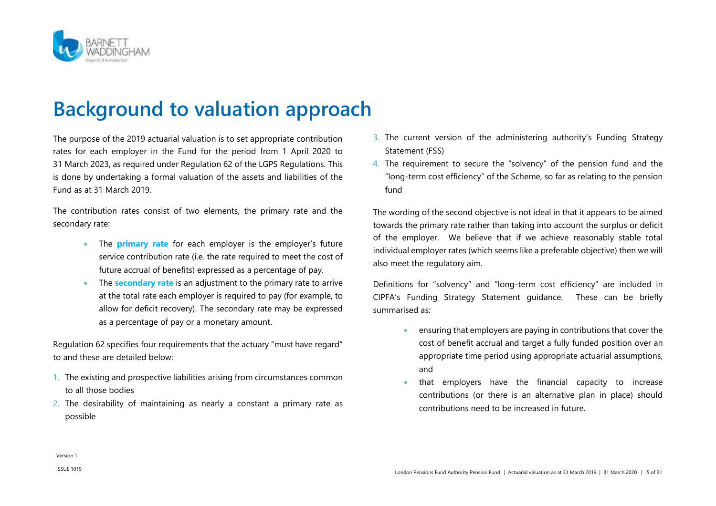

### <span id="page-4-0"></span>**Background to valuation approach**

The purpose of the 2019 actuarial valuation is to set appropriate contribution rates for each employer in the Fund for the period from 1 April 2020 to 31 March 2023, as required under Regulation 62 of the LGPS Regulations. This is done by undertaking a formal valuation of the assets and liabilities of the Fund as at 31 March 2019.

The contribution rates consist of two elements, the primary rate and the secondary rate:

- The **primary rate** for each employer is the employer's future service contribution rate (i.e. the rate required to meet the cost of future accrual of benefits) expressed as a percentage of pay.
- **The secondary rate** is an adjustment to the primary rate to arrive at the total rate each employer is required to pay (for example, to allow for deficit recovery). The secondary rate may be expressed as a percentage of pay or a monetary amount.

Regulation 62 specifies four requirements that the actuary "must have regard" to and these are detailed below:

- 1. The existing and prospective liabilities arising from circumstances common to all those bodies
- 2. The desirability of maintaining as nearly a constant a primary rate as possible
- 3. The current version of the administering authority's Funding Strategy Statement (FSS)
- 4. The requirement to secure the "solvency" of the pension fund and the "long-term cost efficiency" of the Scheme, so far as relating to the pension fund

The wording of the second objective is not ideal in that it appears to be aimed towards the primary rate rather than taking into account the surplus or deficit of the employer. We believe that if we achieve reasonably stable total individual employer rates (which seems like a preferable objective) then we will also meet the regulatory aim.

Definitions for "solvency" and "long-term cost efficiency" are included in CIPFA's Funding Strategy Statement guidance. These can be briefly summarised as:

- ensuring that employers are paying in contributions that cover the cost of benefit accrual and target a fully funded position over an appropriate time period using appropriate actuarial assumptions, and
- that employers have the financial capacity to increase contributions (or there is an alternative plan in place) should contributions need to be increased in future.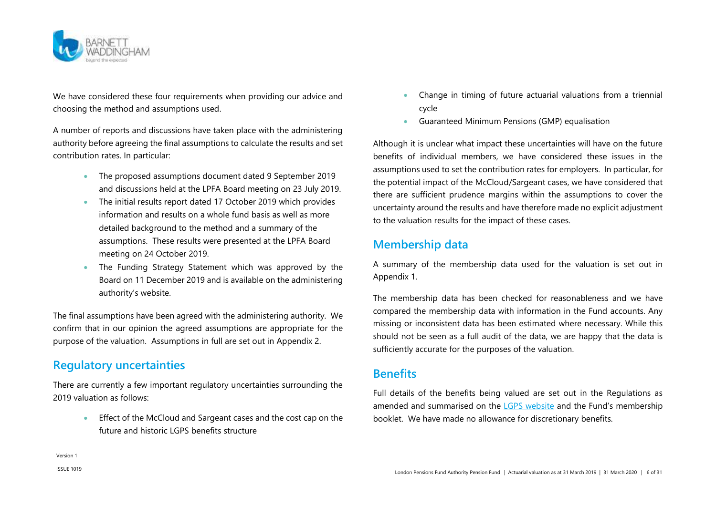

We have considered these four requirements when providing our advice and choosing the method and assumptions used.

A number of reports and discussions have taken place with the administering authority before agreeing the final assumptions to calculate the results and set contribution rates. In particular:

- The proposed assumptions document dated 9 September 2019 and discussions held at the LPFA Board meeting on 23 July 2019.
- The initial results report dated 17 October 2019 which provides information and results on a whole fund basis as well as more detailed background to the method and a summary of the assumptions. These results were presented at the LPFA Board meeting on 24 October 2019.
- The Funding Strategy Statement which was approved by the Board on 11 December 2019 and is available on the administering authority's website.

The final assumptions have been agreed with the administering authority. We confirm that in our opinion the agreed assumptions are appropriate for the purpose of the valuation. Assumptions in full are set out in [Appendix 2.](#page-22-0)

### **Regulatory uncertainties**

There are currently a few important regulatory uncertainties surrounding the 2019 valuation as follows:

> **Effect of the McCloud and Sargeant cases and the cost cap on the** future and historic LGPS benefits structure

- Change in timing of future actuarial valuations from a triennial cycle
- Guaranteed Minimum Pensions (GMP) equalisation

Although it is unclear what impact these uncertainties will have on the future benefits of individual members, we have considered these issues in the assumptions used to set the contribution rates for employers. In particular, for the potential impact of the McCloud/Sargeant cases, we have considered that there are sufficient prudence margins within the assumptions to cover the uncertainty around the results and have therefore made no explicit adjustment to the valuation results for the impact of these cases.

### **Membership data**

A summary of the membership data used for the valuation is set out in [Appendix 1.](#page-19-0) 

The membership data has been checked for reasonableness and we have compared the membership data with information in the Fund accounts. Any missing or inconsistent data has been estimated where necessary. While this should not be seen as a full audit of the data, we are happy that the data is sufficiently accurate for the purposes of the valuation.

### **Benefits**

Full details of the benefits being valued are set out in the Regulations as amended and summarised on the [LGPS website](https://www.lgpsmember.org/) and the Fund's membership booklet. We have made no allowance for discretionary benefits.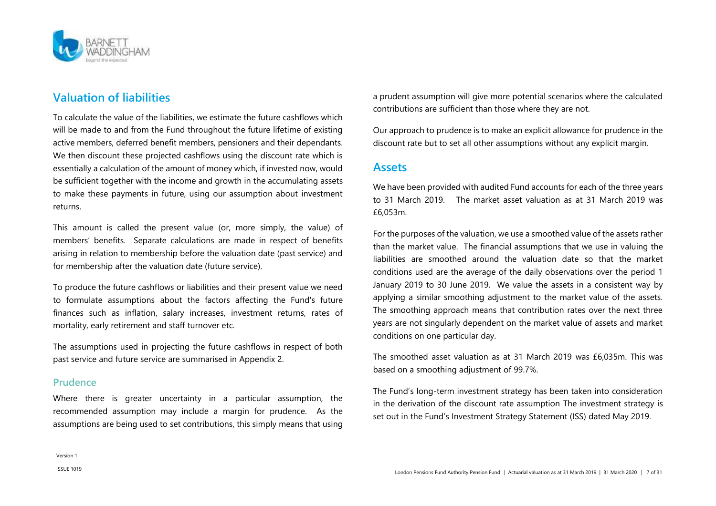

### **Valuation of liabilities**

To calculate the value of the liabilities, we estimate the future cashflows which will be made to and from the Fund throughout the future lifetime of existing active members, deferred benefit members, pensioners and their dependants. We then discount these projected cashflows using the discount rate which is essentially a calculation of the amount of money which, if invested now, would be sufficient together with the income and growth in the accumulating assets to make these payments in future, using our assumption about investment returns.

This amount is called the present value (or, more simply, the value) of members' benefits. Separate calculations are made in respect of benefits arising in relation to membership before the valuation date (past service) and for membership after the valuation date (future service).

To produce the future cashflows or liabilities and their present value we need to formulate assumptions about the factors affecting the Fund's future finances such as inflation, salary increases, investment returns, rates of mortality, early retirement and staff turnover etc.

The assumptions used in projecting the future cashflows in respect of both past service and future service are summarised in [Appendix 2.](#page-22-0)

#### **Prudence**

Where there is greater uncertainty in a particular assumption, the recommended assumption may include a margin for prudence. As the assumptions are being used to set contributions, this simply means that using a prudent assumption will give more potential scenarios where the calculated contributions are sufficient than those where they are not.

Our approach to prudence is to make an explicit allowance for prudence in the discount rate but to set all other assumptions without any explicit margin.

#### **Assets**

We have been provided with audited Fund accounts for each of the three years to 31 March 2019. The market asset valuation as at 31 March 2019 was £6,053m.

For the purposes of the valuation, we use a smoothed value of the assets rather than the market value. The financial assumptions that we use in valuing the liabilities are smoothed around the valuation date so that the market conditions used are the average of the daily observations over the period 1 January 2019 to 30 June 2019. We value the assets in a consistent way by applying a similar smoothing adjustment to the market value of the assets. The smoothing approach means that contribution rates over the next three years are not singularly dependent on the market value of assets and market conditions on one particular day.

The smoothed asset valuation as at 31 March 2019 was £6,035m. This was based on a smoothing adjustment of 99.7%.

The Fund's long-term investment strategy has been taken into consideration in the derivation of the discount rate assumption The investment strategy is set out in the Fund's Investment Strategy Statement (ISS) dated May 2019.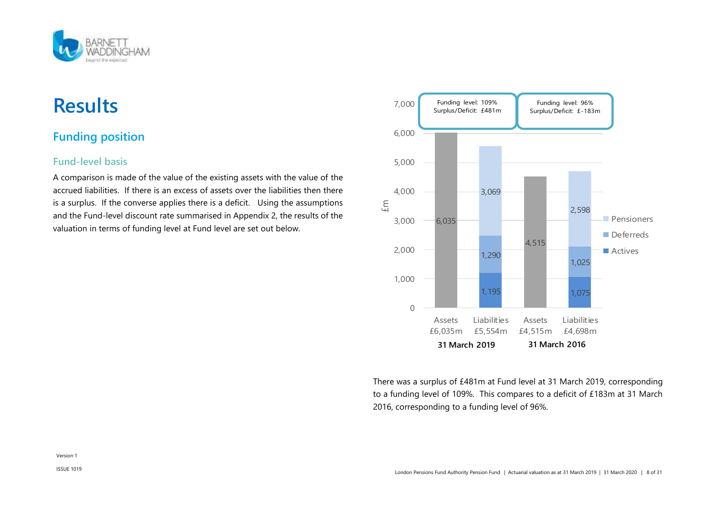

### <span id="page-7-0"></span>**Results**

### **Funding position**

### **Fund-level basis**

A comparison is made of the value of the existing assets with the value of the accrued liabilities. If there is an excess of assets over the liabilities then there is a surplus. If the converse applies there is a deficit. Using the assumptions and the Fund-level discount rate summarised in [Appendix 2,](#page-22-0) the results of the valuation in terms of funding level at Fund level are set out below.



There was a surplus of £481m at Fund level at 31 March 2019, corresponding to a funding level of 109%. This compares to a deficit of £183m at 31 March 2016, corresponding to a funding level of 96%.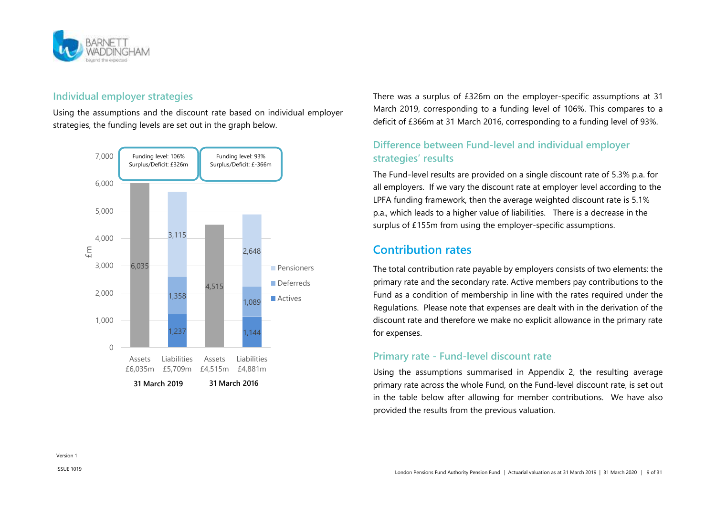

### **Individual employer strategies**

Using the assumptions and the discount rate based on individual employer strategies, the funding levels are set out in the graph below.



There was a surplus of £326m on the employer-specific assumptions at 31 March 2019, corresponding to a funding level of 106%. This compares to a deficit of £366m at 31 March 2016, corresponding to a funding level of 93%.

### **Difference between Fund-level and individual employer strategies' results**

The Fund-level results are provided on a single discount rate of 5.3% p.a. for all employers. If we vary the discount rate at employer level according to the LPFA funding framework, then the average weighted discount rate is 5.1% p.a., which leads to a higher value of liabilities. There is a decrease in the surplus of £155m from using the employer-specific assumptions.

### **Contribution rates**

The total contribution rate payable by employers consists of two elements: the primary rate and the secondary rate. Active members pay contributions to the Fund as a condition of membership in line with the rates required under the Regulations. Please note that expenses are dealt with in the derivation of the discount rate and therefore we make no explicit allowance in the primary rate for expenses.

### **Primary rate - Fund-level discount rate**

Using the assumptions summarised in [Appendix 2,](#page-22-0) the resulting average primary rate across the whole Fund, on the Fund-level discount rate, is set out in the table below after allowing for member contributions. We have also provided the results from the previous valuation.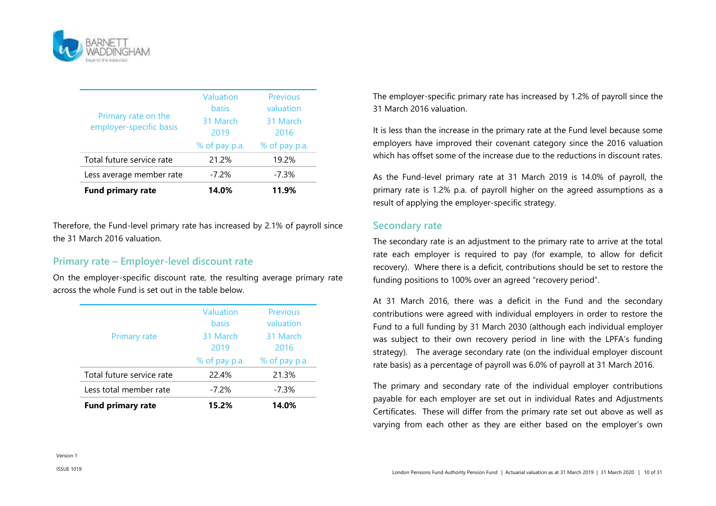

| Less average member rate<br><b>Fund primary rate</b> | 14.0%              | 11.9%                 |
|------------------------------------------------------|--------------------|-----------------------|
| Total future service rate                            | 21.2%<br>$-7.2%$   | 19.2%<br>$-7.3%$      |
|                                                      | % of pay p.a.      | % of pay p.a.         |
| employer-specific basis                              | 31 March<br>2019   | 31 March<br>2016      |
| Primary rate on the                                  | Valuation<br>basis | Previous<br>valuation |

Therefore, the Fund-level primary rate has increased by 2.1% of payroll since the 31 March 2016 valuation.

#### **Primary rate – Employer-level discount rate**

On the employer-specific discount rate, the resulting average primary rate across the whole Fund is set out in the table below.

| <b>Fund primary rate</b>  | 15.2%                                        | 14.0%                                    |
|---------------------------|----------------------------------------------|------------------------------------------|
| Less total member rate    | $-7.2%$                                      | $-7.3%$                                  |
| Total future service rate | 22.4%                                        | 21.3%                                    |
|                           | % of pay p.a.                                | % of pay p.a.                            |
| <b>Primary rate</b>       | 2019                                         | 2016                                     |
|                           | <b>Valuation</b><br><b>basis</b><br>31 March | <b>Previous</b><br>valuation<br>31 March |

The employer-specific primary rate has increased by 1.2% of payroll since the 31 March 2016 valuation.

It is less than the increase in the primary rate at the Fund level because some employers have improved their covenant category since the 2016 valuation which has offset some of the increase due to the reductions in discount rates.

As the Fund-level primary rate at 31 March 2019 is 14.0% of payroll, the primary rate is 1.2% p.a. of payroll higher on the agreed assumptions as a result of applying the employer-specific strategy.

#### **Secondary rate**

The secondary rate is an adjustment to the primary rate to arrive at the total rate each employer is required to pay (for example, to allow for deficit recovery). Where there is a deficit, contributions should be set to restore the funding positions to 100% over an agreed "recovery period".

At 31 March 2016, there was a deficit in the Fund and the secondary contributions were agreed with individual employers in order to restore the Fund to a full funding by 31 March 2030 (although each individual employer was subject to their own recovery period in line with the LPFA's funding strategy). The average secondary rate (on the individual employer discount rate basis) as a percentage of payroll was 6.0% of payroll at 31 March 2016.

The primary and secondary rate of the individual employer contributions payable for each employer are set out in individual Rates and Adjustments Certificates. These will differ from the primary rate set out above as well as varying from each other as they are either based on the employer's own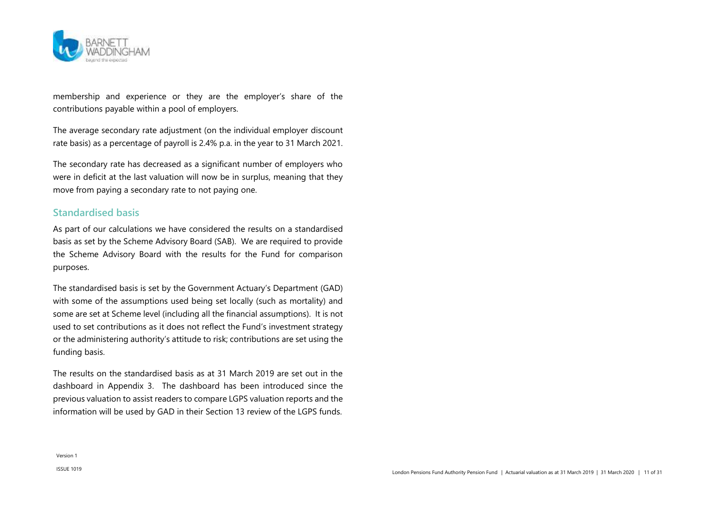

membership and experience or they are the employer's share of the contributions payable within a pool of employers.

The average secondary rate adjustment (on the individual employer discount rate basis) as a percentage of payroll is 2.4% p.a. in the year to 31 March 2021.

The secondary rate has decreased as a significant number of employers who were in deficit at the last valuation will now be in surplus, meaning that they move from paying a secondary rate to not paying one.

#### **Standardised basis**

As part of our calculations we have considered the results on a standardised basis as set by the Scheme Advisory Board (SAB). We are required to provide the Scheme Advisory Board with the results for the Fund for comparison purposes.

The standardised basis is set by the Government Actuary's Department (GAD) with some of the assumptions used being set locally (such as mortality) and some are set at Scheme level (including all the financial assumptions). It is not used to set contributions as it does not reflect the Fund's investment strategy or the administering authority's attitude to risk; contributions are set using the funding basis.

The results on the standardised basis as at 31 March 2019 are set out in the dashboard in [Appendix 3.](#page-27-0) The dashboard has been introduced since the previous valuation to assist readers to compare LGPS valuation reports and the information will be used by GAD in their Section 13 review of the LGPS funds.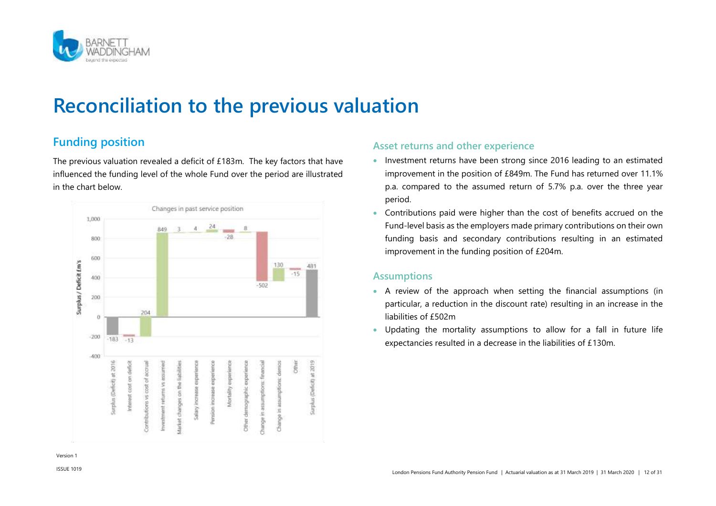

### <span id="page-11-0"></span>**Reconciliation to the previous valuation**

### **Funding position**

The previous valuation revealed a deficit of £183m. The key factors that have influenced the funding level of the whole Fund over the period are illustrated in the chart below.



### **Asset returns and other experience**

- Investment returns have been strong since 2016 leading to an estimated improvement in the position of £849m. The Fund has returned over 11.1% p.a. compared to the assumed return of 5.7% p.a. over the three year period.
- Contributions paid were higher than the cost of benefits accrued on the Fund-level basis as the employers made primary contributions on their own funding basis and secondary contributions resulting in an estimated improvement in the funding position of £204m.

#### **Assumptions**

- A review of the approach when setting the financial assumptions (in particular, a reduction in the discount rate) resulting in an increase in the liabilities of £502m
- Updating the mortality assumptions to allow for a fall in future life expectancies resulted in a decrease in the liabilities of £130m.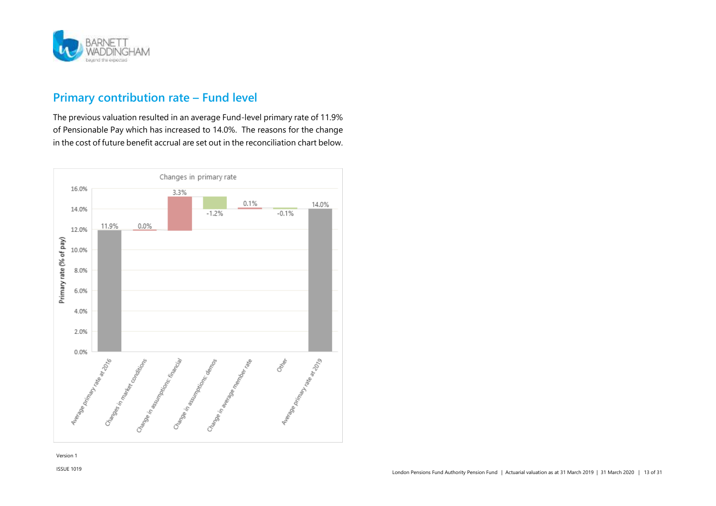

### **Primary contribution rate – Fund level**

The previous valuation resulted in an average Fund-level primary rate of 11.9% of Pensionable Pay which has increased to 14.0%. The reasons for the change in the cost of future benefit accrual are set out in the reconciliation chart below.

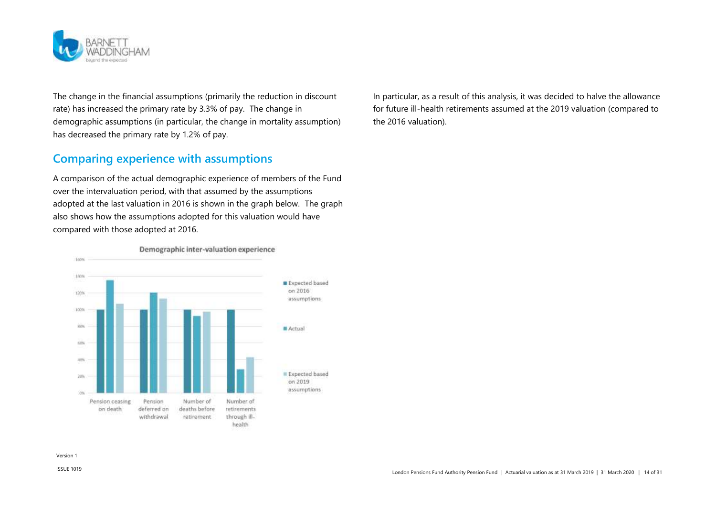

The change in the financial assumptions (primarily the reduction in discount rate) has increased the primary rate by 3.3% of pay. The change in demographic assumptions (in particular, the change in mortality assumption) has decreased the primary rate by 1.2% of pay.

### **Comparing experience with assumptions**

A comparison of the actual demographic experience of members of the Fund over the intervaluation period, with that assumed by the assumptions adopted at the last valuation in 2016 is shown in the graph below. The graph also shows how the assumptions adopted for this valuation would have compared with those adopted at 2016.



In particular, as a result of this analysis, it was decided to halve the allowance for future ill-health retirements assumed at the 2019 valuation (compared to the 2016 valuation).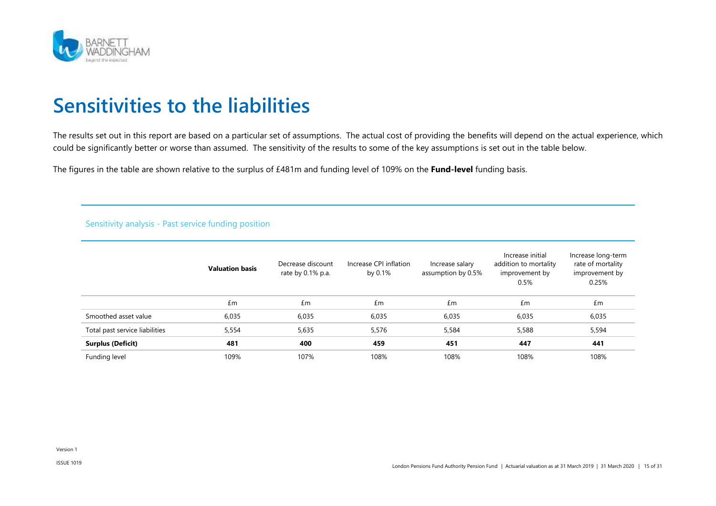

### <span id="page-14-0"></span>**Sensitivities to the liabilities**

The results set out in this report are based on a particular set of assumptions. The actual cost of providing the benefits will depend on the actual experience, which could be significantly better or worse than assumed. The sensitivity of the results to some of the key assumptions is set out in the table below.

The figures in the table are shown relative to the surplus of £481m and funding level of 109% on the **Fund-level** funding basis.

#### Sensitivity analysis - Past service funding position

|                                | <b>Valuation basis</b> | Decrease discount<br>rate by 0.1% p.a. | Increase CPI inflation<br>by 0.1% | Increase salary<br>assumption by 0.5% | Increase initial<br>addition to mortality<br>improvement by<br>0.5% | Increase long-term<br>rate of mortality<br>improvement by<br>0.25% |
|--------------------------------|------------------------|----------------------------------------|-----------------------------------|---------------------------------------|---------------------------------------------------------------------|--------------------------------------------------------------------|
|                                | £m                     | £m                                     | £m                                | £m                                    | £m                                                                  | £m                                                                 |
| Smoothed asset value           | 6,035                  | 6,035                                  | 6,035                             | 6,035                                 | 6,035                                                               | 6,035                                                              |
| Total past service liabilities | 5,554                  | 5,635                                  | 5,576                             | 5,584                                 | 5,588                                                               | 5,594                                                              |
| <b>Surplus (Deficit)</b>       | 481                    | 400                                    | 459                               | 451                                   | 447                                                                 | 441                                                                |
| Funding level                  | 109%                   | 107%                                   | 108%                              | 108%                                  | 108%                                                                | 108%                                                               |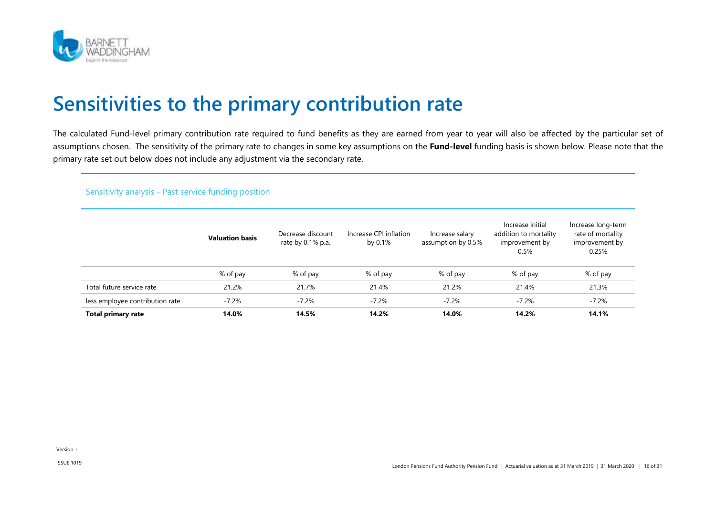

### <span id="page-15-0"></span>**Sensitivities to the primary contribution rate**

The calculated Fund-level primary contribution rate required to fund benefits as they are earned from year to year will also be affected by the particular set of assumptions chosen. The sensitivity of the primary rate to changes in some key assumptions on the **Fund-level** funding basis is shown below. Please note that the primary rate set out below does not include any adjustment via the secondary rate.

#### Sensitivity analysis - Past service funding position

|                                 | <b>Valuation basis</b> | Decrease discount<br>rate by 0.1% p.a. | Increase CPI inflation<br>by 0.1% | Increase salary<br>assumption by 0.5% | Increase initial<br>addition to mortality<br>improvement by<br>0.5% | Increase long-term<br>rate of mortality<br>improvement by<br>0.25% |
|---------------------------------|------------------------|----------------------------------------|-----------------------------------|---------------------------------------|---------------------------------------------------------------------|--------------------------------------------------------------------|
|                                 | % of pay               | % of pay                               | % of pay                          | % of pay                              | % of pay                                                            | % of pay                                                           |
| Total future service rate       | 21.2%                  | 21.7%                                  | 21.4%                             | 21.2%                                 | 21.4%                                                               | 21.3%                                                              |
| less employee contribution rate | $-7.2%$                | $-7.2%$                                | $-7.2%$                           | $-7.2%$                               | $-7.2%$                                                             | $-7.2%$                                                            |
| <b>Total primary rate</b>       | 14.0%                  | 14.5%                                  | 14.2%                             | 14.0%                                 | 14.2%                                                               | 14.1%                                                              |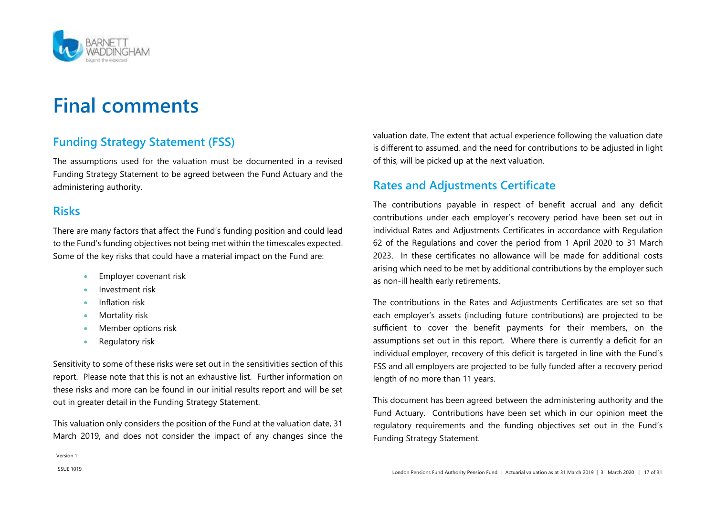

### <span id="page-16-0"></span>**Final comments**

### **Funding Strategy Statement (FSS)**

The assumptions used for the valuation must be documented in a revised Funding Strategy Statement to be agreed between the Fund Actuary and the administering authority.

### **Risks**

There are many factors that affect the Fund's funding position and could lead to the Fund's funding objectives not being met within the timescales expected. Some of the key risks that could have a material impact on the Fund are:

- **Employer covenant risk**
- Investment risk
- Inflation risk
- Mortality risk
- Member options risk
- Regulatory risk

Sensitivity to some of these risks were set out in the sensitivities section of this report. Please note that this is not an exhaustive list. Further information on these risks and more can be found in our initial results report and will be set out in greater detail in the Funding Strategy Statement.

This valuation only considers the position of the Fund at the valuation date, 31 March 2019, and does not consider the impact of any changes since the valuation date. The extent that actual experience following the valuation date is different to assumed, and the need for contributions to be adjusted in light of this, will be picked up at the next valuation.

### **Rates and Adjustments Certificate**

The contributions payable in respect of benefit accrual and any deficit contributions under each employer's recovery period have been set out in individual Rates and Adjustments Certificates in accordance with Regulation 62 of the Regulations and cover the period from 1 April 2020 to 31 March 2023. In these certificates no allowance will be made for additional costs arising which need to be met by additional contributions by the employer such as non-ill health early retirements.

The contributions in the Rates and Adjustments Certificates are set so that each employer's assets (including future contributions) are projected to be sufficient to cover the benefit payments for their members, on the assumptions set out in this report. Where there is currently a deficit for an individual employer, recovery of this deficit is targeted in line with the Fund's FSS and all employers are projected to be fully funded after a recovery period length of no more than 11 years.

This document has been agreed between the administering authority and the Fund Actuary. Contributions have been set which in our opinion meet the regulatory requirements and the funding objectives set out in the Fund's Funding Strategy Statement.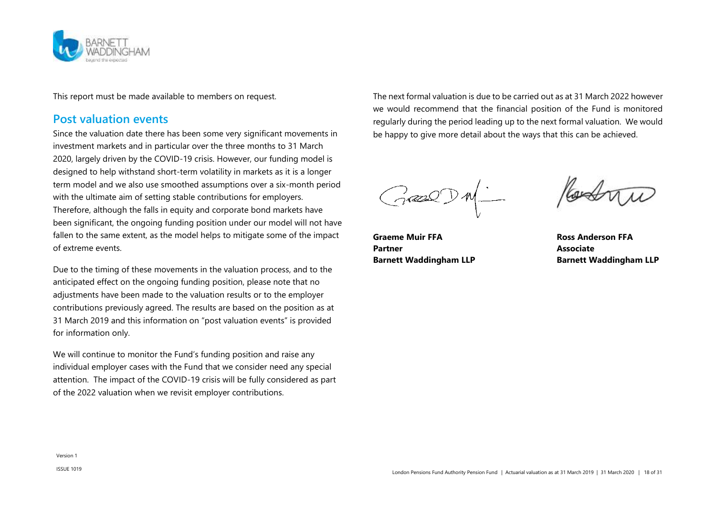

This report must be made available to members on request.

### **Post valuation events**

Since the valuation date there has been some very significant movements in investment markets and in particular over the three months to 31 March 2020, largely driven by the COVID-19 crisis. However, our funding model is designed to help withstand short-term volatility in markets as it is a longer term model and we also use smoothed assumptions over a six-month period with the ultimate aim of setting stable contributions for employers.  Therefore, although the falls in equity and corporate bond markets have been significant, the ongoing funding position under our model will not have fallen to the same extent, as the model helps to mitigate some of the impact of extreme events.

Due to the timing of these movements in the valuation process, and to the anticipated effect on the ongoing funding position, please note that no adjustments have been made to the valuation results or to the employer contributions previously agreed. The results are based on the position as at 31 March 2019 and this information on "post valuation events" is provided for information only.

We will continue to monitor the Fund's funding position and raise any individual employer cases with the Fund that we consider need any special attention.   The impact of the COVID-19 crisis will be fully considered as part of the 2022 valuation when we revisit employer contributions.

The next formal valuation is due to be carried out as at 31 March 2022 however we would recommend that the financial position of the Fund is monitored regularly during the period leading up to the next formal valuation. We would be happy to give more detail about the ways that this can be achieved.

 $G$ 

**Graeme Muir FFA Ross Anderson FFA** Partner **Associate Barnett Waddingham LLP Barnett Waddingham LLP**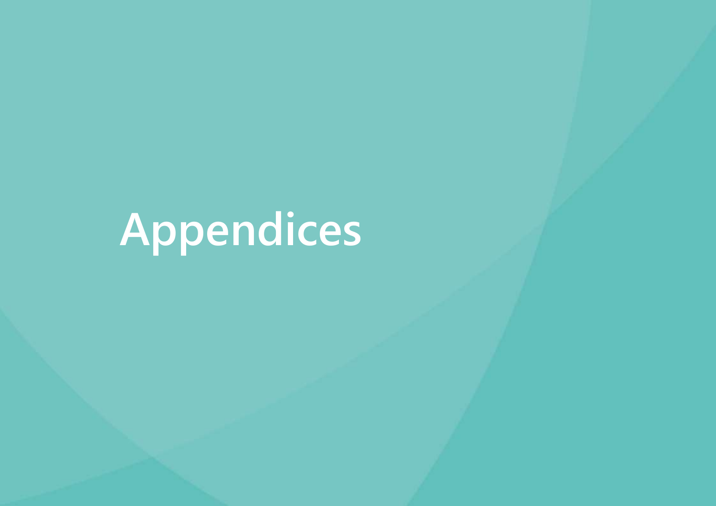# **Appendices**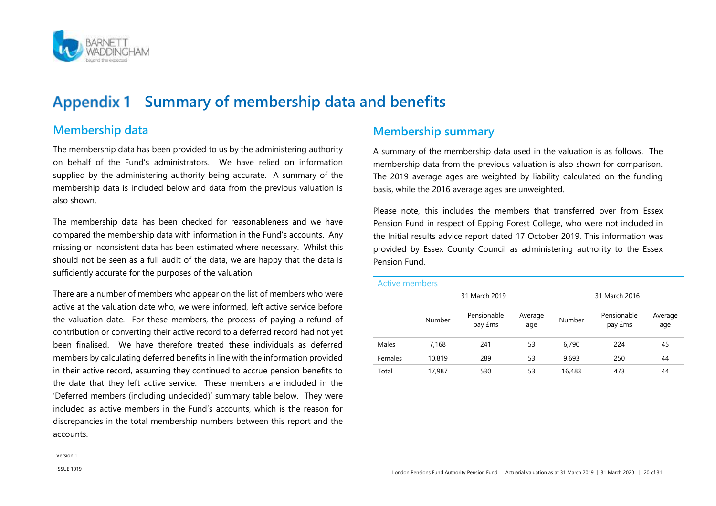

### <span id="page-19-0"></span>**Summary of membership data and benefits**

### **Membership data**

The membership data has been provided to us by the administering authority on behalf of the Fund's administrators. We have relied on information supplied by the administering authority being accurate. A summary of the membership data is included below and data from the previous valuation is also shown.

The membership data has been checked for reasonableness and we have compared the membership data with information in the Fund's accounts. Any missing or inconsistent data has been estimated where necessary. Whilst this should not be seen as a full audit of the data, we are happy that the data is sufficiently accurate for the purposes of the valuation.

There are a number of members who appear on the list of members who were active at the valuation date who, we were informed, left active service before the valuation date. For these members, the process of paying a refund of contribution or converting their active record to a deferred record had not yet been finalised. We have therefore treated these individuals as deferred members by calculating deferred benefits in line with the information provided in their active record, assuming they continued to accrue pension benefits to the date that they left active service. These members are included in the 'Deferred members (including undecided)' summary table below. They were included as active members in the Fund's accounts, which is the reason for discrepancies in the total membership numbers between this report and the accounts.

### **Membership summary**

A summary of the membership data used in the valuation is as follows. The membership data from the previous valuation is also shown for comparison. The 2019 average ages are weighted by liability calculated on the funding basis, while the 2016 average ages are unweighted.

Please note, this includes the members that transferred over from Essex Pension Fund in respect of Epping Forest College, who were not included in the Initial results advice report dated 17 October 2019. This information was provided by Essex County Council as administering authority to the Essex Pension Fund.

| <b>Active members</b> |        |                                |                |        |                                |                |
|-----------------------|--------|--------------------------------|----------------|--------|--------------------------------|----------------|
|                       |        | 31 March 2019                  |                |        | 31 March 2016                  |                |
|                       | Number | Pensionable<br>pay <i>f</i> ms | Average<br>age | Number | Pensionable<br>pay <i>f</i> ms | Average<br>age |
| Males                 | 7,168  | 241                            | 53             | 6,790  | 224                            | 45             |
| Females               | 10,819 | 289                            | 53             | 9,693  | 250                            | 44             |
| Total                 | 17,987 | 530                            | 53             | 16,483 | 473                            | 44             |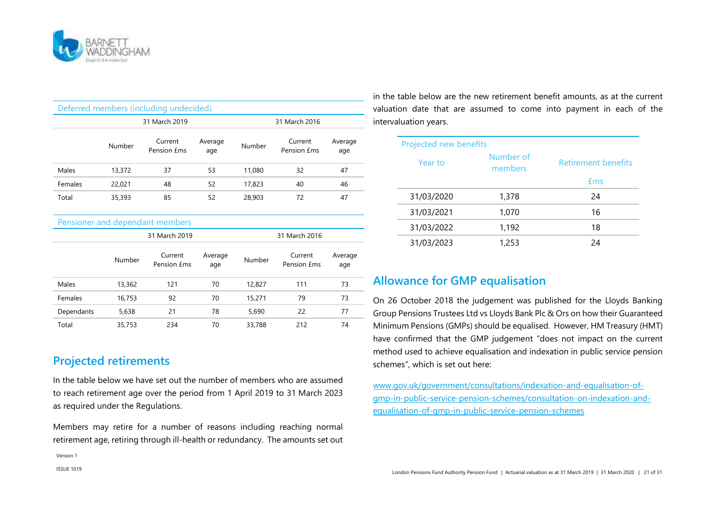

| Deferred members (including undecided) |                                |                                      |                |        |                               |                |
|----------------------------------------|--------------------------------|--------------------------------------|----------------|--------|-------------------------------|----------------|
|                                        | 31 March 2019                  |                                      |                |        | 31 March 2016                 |                |
|                                        | Number                         | Current<br>Pension <i><b>£ms</b></i> | Average<br>age | Number | Current<br>Pension <i>Ems</i> | Average<br>age |
| Males                                  | 13,372                         | 37                                   | 53             | 11,080 | 32                            | 47             |
| Females                                | 22,021                         | 48                                   | 52             | 17,823 | 40                            | 46             |
| Total                                  | 35,393                         | 85                                   | 52             | 28,903 | 72                            | 47             |
|                                        |                                | Pensioner and dependant members      |                |        |                               |                |
|                                        | 31 March 2019<br>31 March 2016 |                                      |                |        |                               |                |
|                                        | Number                         | Current<br>Pension £ms               | Average<br>age | Number | Current<br>Pension £ms        | Average<br>age |
| Males                                  | 13,362                         | 121                                  | 70             | 12,827 | 111                           | 73             |
| Females                                | 16,753                         | 92                                   | 70             | 15,271 | 79                            | 73             |
| Dependants                             | 5,638                          | 21                                   | 78             | 5,690  | 22                            | 77             |
| Total                                  | 35,753                         | 234                                  | 70             | 33,788 | 212                           | 74             |

### **Projected retirements**

In the table below we have set out the number of members who are assumed to reach retirement age over the period from 1 April 2019 to 31 March 2023 as required under the Regulations.

Members may retire for a number of reasons including reaching normal retirement age, retiring through ill-health or redundancy. The amounts set out

in the table below are the new retirement benefit amounts, as at the current valuation date that are assumed to come into payment in each of the intervaluation years.

| Projected new benefits |                      |                     |
|------------------------|----------------------|---------------------|
| Year to                | Number of<br>members | Retirement benefits |
|                        |                      | <b>£ms</b>          |
| 31/03/2020             | 1,378                | 24                  |
| 31/03/2021             | 1,070                | 16                  |
| 31/03/2022             | 1,192                | 18                  |
| 31/03/2023             | 1,253                | 24                  |

### **Allowance for GMP equalisation**

On 26 October 2018 the judgement was published for the Lloyds Banking Group Pensions Trustees Ltd vs Lloyds Bank Plc & Ors on how their Guaranteed Minimum Pensions (GMPs) should be equalised. However, HM Treasury (HMT) have confirmed that the GMP judgement "does not impact on the current method used to achieve equalisation and indexation in public service pension schemes", which is set out here:

[www.gov.uk/government/consultations/indexation-and-equalisation-of](http://www.gov.uk/government/consultations/indexation-and-equalisation-of-gmp-in-public-service-pension-schemes/consultation-on-indexation-and-equalisation-of-gmp-in-public-service-pension-schemes)[gmp-in-public-service-pension-schemes/consultation-on-indexation-and](http://www.gov.uk/government/consultations/indexation-and-equalisation-of-gmp-in-public-service-pension-schemes/consultation-on-indexation-and-equalisation-of-gmp-in-public-service-pension-schemes)[equalisation-of-gmp-in-public-service-pension-schemes](http://www.gov.uk/government/consultations/indexation-and-equalisation-of-gmp-in-public-service-pension-schemes/consultation-on-indexation-and-equalisation-of-gmp-in-public-service-pension-schemes)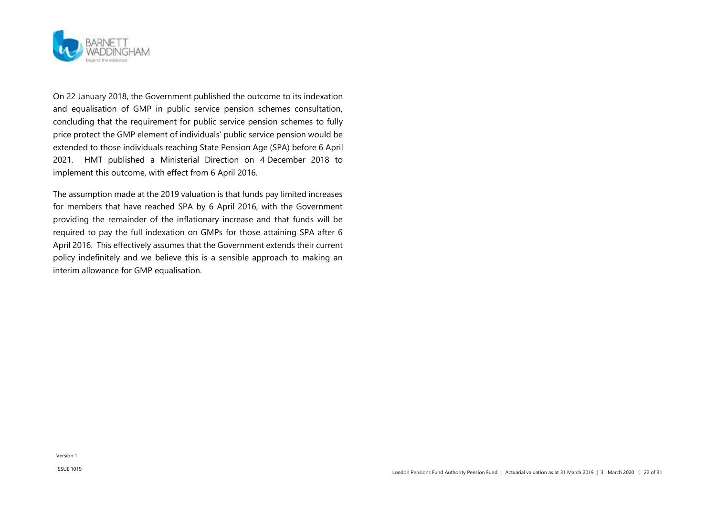

On 22 January 2018, the Government published the outcome to its indexation and equalisation of GMP in public service pension schemes consultation, concluding that the requirement for public service pension schemes to fully price protect the GMP element of individuals' public service pension would be extended to those individuals reaching State Pension Age (SPA) before 6 April 2021. HMT published a Ministerial Direction on 4 December 2018 to implement this outcome, with effect from 6 April 2016.

The assumption made at the 2019 valuation is that funds pay limited increases for members that have reached SPA by 6 April 2016, with the Government providing the remainder of the inflationary increase and that funds will be required to pay the full indexation on GMPs for those attaining SPA after 6 April 2016. This effectively assumes that the Government extends their current policy indefinitely and we believe this is a sensible approach to making an interim allowance for GMP equalisation.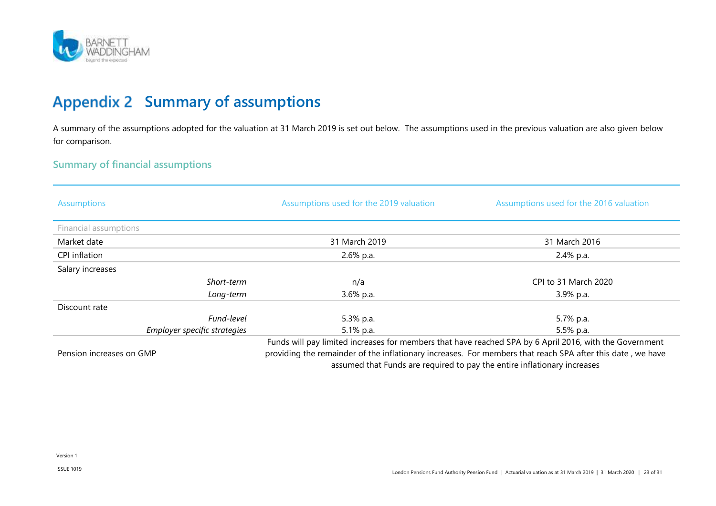

### <span id="page-22-0"></span>**Appendix 2 Summary of assumptions**

A summary of the assumptions adopted for the valuation at 31 March 2019 is set out below. The assumptions used in the previous valuation are also given below for comparison.

### **Summary of financial assumptions**

| <b>Assumptions</b>    |                              | Assumptions used for the 2019 valuation | Assumptions used for the 2016 valuation                                                                 |
|-----------------------|------------------------------|-----------------------------------------|---------------------------------------------------------------------------------------------------------|
| Financial assumptions |                              |                                         |                                                                                                         |
| Market date           |                              | 31 March 2019                           | 31 March 2016                                                                                           |
| CPI inflation         |                              | 2.6% p.a.                               | 2.4% p.a.                                                                                               |
| Salary increases      |                              |                                         |                                                                                                         |
|                       | Short-term                   | n/a                                     | CPI to 31 March 2020                                                                                    |
|                       | Long-term                    | 3.6% p.a.                               | 3.9% p.a.                                                                                               |
| Discount rate         |                              |                                         |                                                                                                         |
|                       | Fund-level                   | 5.3% p.a.                               | 5.7% p.a.                                                                                               |
|                       | Employer specific strategies | 5.1% p.a.                               | 5.5% p.a.                                                                                               |
|                       |                              |                                         | Funds will pay limited increases for members that have reached SPA by 6 April 2016, with the Government |

Pension increases on GMP

Funds will pay limited increases for members that have reached SPA by 6 April 2016, with the Government providing the remainder of the inflationary increases. For members that reach SPA after this date , we have assumed that Funds are required to pay the entire inflationary increases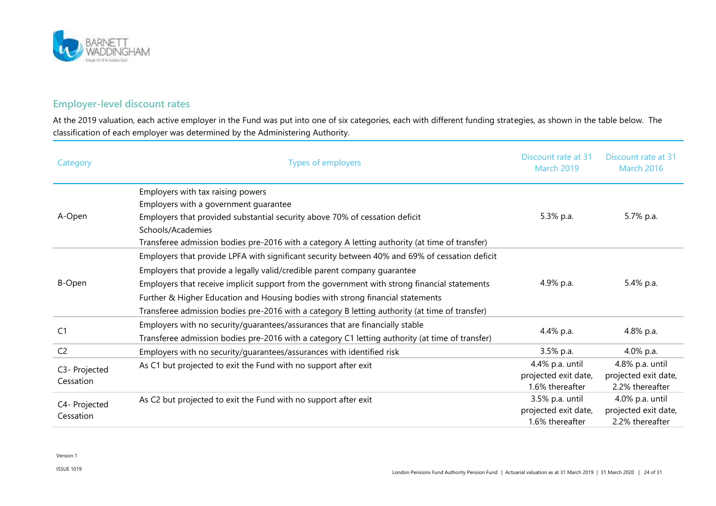

### **Employer-level discount rates**

At the 2019 valuation, each active employer in the Fund was put into one of six categories, each with different funding strategies, as shown in the table below. The classification of each employer was determined by the Administering Authority.

| Category                   | <b>Types of employers</b>                                                                                                                                                                                                                                                                                                                                                                                                                                      | Discount rate at 31<br><b>March 2019</b>                   | Discount rate at 31<br><b>March 2016</b>                   |
|----------------------------|----------------------------------------------------------------------------------------------------------------------------------------------------------------------------------------------------------------------------------------------------------------------------------------------------------------------------------------------------------------------------------------------------------------------------------------------------------------|------------------------------------------------------------|------------------------------------------------------------|
|                            | Employers with tax raising powers<br>Employers with a government guarantee                                                                                                                                                                                                                                                                                                                                                                                     |                                                            |                                                            |
| A-Open                     | Employers that provided substantial security above 70% of cessation deficit                                                                                                                                                                                                                                                                                                                                                                                    | 5.3% p.a.                                                  | 5.7% p.a.                                                  |
|                            | Schools/Academies<br>Transferee admission bodies pre-2016 with a category A letting authority (at time of transfer)                                                                                                                                                                                                                                                                                                                                            |                                                            |                                                            |
| B-Open                     | Employers that provide LPFA with significant security between 40% and 69% of cessation deficit<br>Employers that provide a legally valid/credible parent company guarantee<br>Employers that receive implicit support from the government with strong financial statements<br>Further & Higher Education and Housing bodies with strong financial statements<br>Transferee admission bodies pre-2016 with a category B letting authority (at time of transfer) | 4.9% p.a.                                                  | 5.4% p.a.                                                  |
| C <sub>1</sub>             | Employers with no security/guarantees/assurances that are financially stable<br>Transferee admission bodies pre-2016 with a category C1 letting authority (at time of transfer)                                                                                                                                                                                                                                                                                | 4.4% p.a.                                                  | 4.8% p.a.                                                  |
| C <sub>2</sub>             | Employers with no security/guarantees/assurances with identified risk                                                                                                                                                                                                                                                                                                                                                                                          | 3.5% p.a.                                                  | 4.0% p.a.                                                  |
| C3- Projected<br>Cessation | As C1 but projected to exit the Fund with no support after exit                                                                                                                                                                                                                                                                                                                                                                                                | 4.4% p.a. until<br>projected exit date,<br>1.6% thereafter | 4.8% p.a. until<br>projected exit date,<br>2.2% thereafter |
| C4- Projected<br>Cessation | As C2 but projected to exit the Fund with no support after exit                                                                                                                                                                                                                                                                                                                                                                                                | 3.5% p.a. until<br>projected exit date,<br>1.6% thereafter | 4.0% p.a. until<br>projected exit date,<br>2.2% thereafter |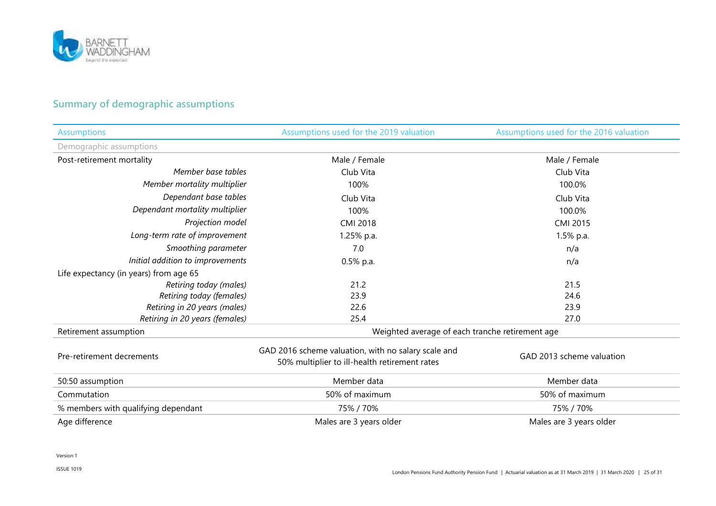

### **Summary of demographic assumptions**

| <b>Assumptions</b>                     | Assumptions used for the 2019 valuation                                                              | Assumptions used for the 2016 valuation |
|----------------------------------------|------------------------------------------------------------------------------------------------------|-----------------------------------------|
| Demographic assumptions                |                                                                                                      |                                         |
| Post-retirement mortality              | Male / Female                                                                                        | Male / Female                           |
| Member base tables                     | Club Vita                                                                                            | Club Vita                               |
| Member mortality multiplier            | 100%                                                                                                 | 100.0%                                  |
| Dependant base tables                  | Club Vita                                                                                            | Club Vita                               |
| Dependant mortality multiplier         | 100%                                                                                                 | 100.0%                                  |
| Projection model                       | CMI 2018                                                                                             | CMI 2015                                |
| Long-term rate of improvement          | 1.25% p.a.                                                                                           | 1.5% p.a.                               |
| Smoothing parameter                    | 7.0                                                                                                  | n/a                                     |
| Initial addition to improvements       | $0.5%$ p.a.                                                                                          | n/a                                     |
| Life expectancy (in years) from age 65 |                                                                                                      |                                         |
| Retiring today (males)                 | 21.2                                                                                                 | 21.5                                    |
| Retiring today (females)               | 23.9                                                                                                 | 24.6                                    |
| Retiring in 20 years (males)           | 22.6                                                                                                 | 23.9                                    |
| Retiring in 20 years (females)         | 25.4                                                                                                 | 27.0                                    |
| Retirement assumption                  | Weighted average of each tranche retirement age                                                      |                                         |
| Pre-retirement decrements              | GAD 2016 scheme valuation, with no salary scale and<br>50% multiplier to ill-health retirement rates | GAD 2013 scheme valuation               |
| 50:50 assumption                       | Member data                                                                                          | Member data                             |
| Commutation                            | 50% of maximum                                                                                       | 50% of maximum                          |
| % members with qualifying dependant    | 75% / 70%                                                                                            | 75% / 70%                               |
| Age difference                         | Males are 3 years older                                                                              | Males are 3 years older                 |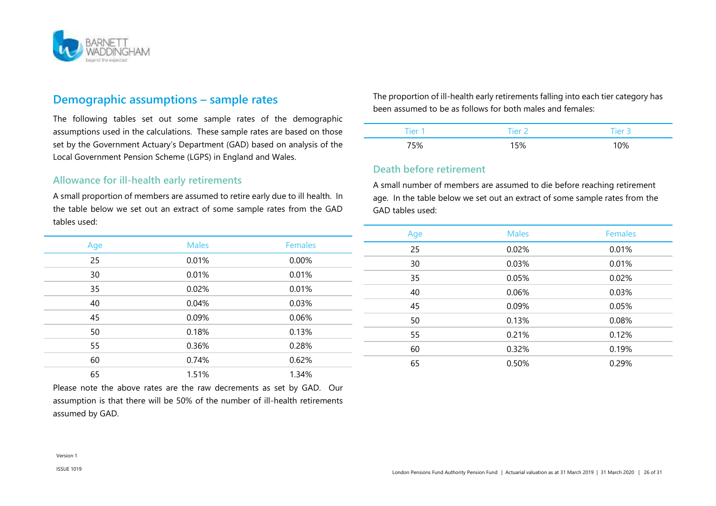

### **Demographic assumptions – sample rates**

The following tables set out some sample rates of the demographic assumptions used in the calculations. These sample rates are based on those set by the Government Actuary's Department (GAD) based on analysis of the Local Government Pension Scheme (LGPS) in England and Wales.

#### **Allowance for ill-health early retirements**

A small proportion of members are assumed to retire early due to ill health. In the table below we set out an extract of some sample rates from the GAD tables used:

| Age | <b>Males</b> | <b>Females</b> |
|-----|--------------|----------------|
| 25  | 0.01%        | 0.00%          |
| 30  | 0.01%        | 0.01%          |
| 35  | 0.02%        | 0.01%          |
| 40  | 0.04%        | 0.03%          |
| 45  | 0.09%        | 0.06%          |
| 50  | 0.18%        | 0.13%          |
| 55  | 0.36%        | 0.28%          |
| 60  | 0.74%        | 0.62%          |
| 65  | 1.51%        | 1.34%          |

Please note the above rates are the raw decrements as set by GAD. Our assumption is that there will be 50% of the number of ill-health retirements assumed by GAD.

The proportion of ill-health early retirements falling into each tier category has been assumed to be as follows for both males and females:

| T<br>7er | $T$ ier . |     |
|----------|-----------|-----|
| '5%      | 5%        | 10% |

#### **Death before retirement**

A small number of members are assumed to die before reaching retirement age. In the table below we set out an extract of some sample rates from the GAD tables used:

| Age | <b>Males</b> | <b>Females</b> |
|-----|--------------|----------------|
| 25  | 0.02%        | 0.01%          |
| 30  | 0.03%        | 0.01%          |
| 35  | 0.05%        | 0.02%          |
| 40  | 0.06%        | 0.03%          |
| 45  | 0.09%        | 0.05%          |
| 50  | 0.13%        | 0.08%          |
| 55  | 0.21%        | 0.12%          |
| 60  | 0.32%        | 0.19%          |
| 65  | 0.50%        | 0.29%          |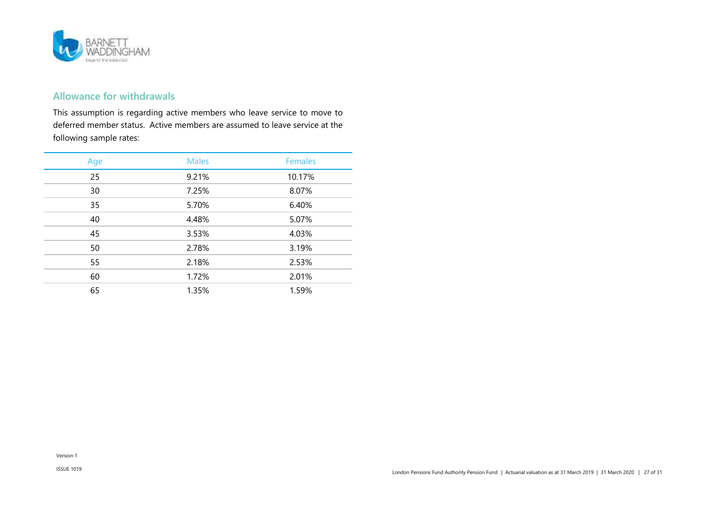

### **Allowance for withdrawals**

This assumption is regarding active members who leave service to move to deferred member status. Active members are assumed to leave service at the following sample rates:

| Age | <b>Males</b> | <b>Females</b> |
|-----|--------------|----------------|
| 25  | 9.21%        | 10.17%         |
| 30  | 7.25%        | 8.07%          |
| 35  | 5.70%        | 6.40%          |
| 40  | 4.48%        | 5.07%          |
| 45  | 3.53%        | 4.03%          |
| 50  | 2.78%        | 3.19%          |
| 55  | 2.18%        | 2.53%          |
| 60  | 1.72%        | 2.01%          |
| 65  | 1.35%        | 1.59%          |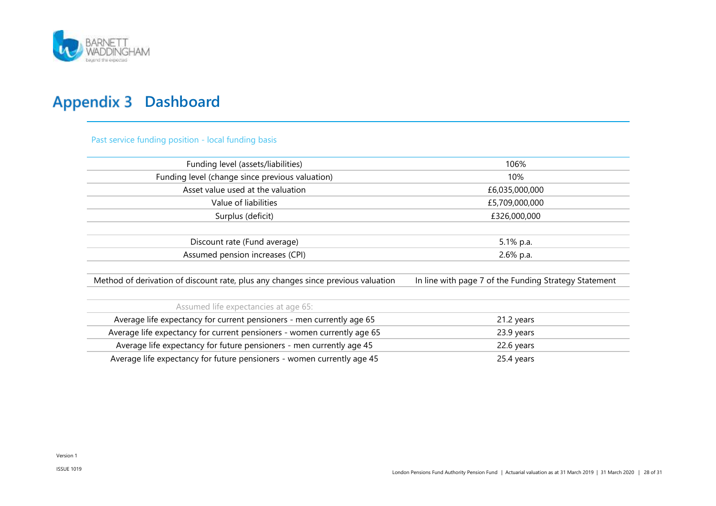

### <span id="page-27-0"></span>**Appendix 3 Dashboard**

Past service funding position - local funding basis

| Funding level (assets/liabilities)                                               | 106%                                                  |  |  |
|----------------------------------------------------------------------------------|-------------------------------------------------------|--|--|
| Funding level (change since previous valuation)                                  | 10%                                                   |  |  |
| Asset value used at the valuation                                                | £6,035,000,000                                        |  |  |
| Value of liabilities                                                             | £5,709,000,000                                        |  |  |
| Surplus (deficit)                                                                | £326,000,000                                          |  |  |
|                                                                                  |                                                       |  |  |
| Discount rate (Fund average)                                                     | 5.1% p.a.                                             |  |  |
| Assumed pension increases (CPI)                                                  | 2.6% p.a.                                             |  |  |
|                                                                                  |                                                       |  |  |
| Method of derivation of discount rate, plus any changes since previous valuation | In line with page 7 of the Funding Strategy Statement |  |  |
|                                                                                  |                                                       |  |  |
| Assumed life expectancies at age 65:                                             |                                                       |  |  |
| Average life expectancy for current pensioners - men currently age 65            | 21.2 years                                            |  |  |
| Average life expectancy for current pensioners - women currently age 65          | 23.9 years                                            |  |  |
| Average life expectancy for future pensioners - men currently age 45             | 22.6 years                                            |  |  |
| Average life expectancy for future pensioners - women currently age 45           | 25.4 years                                            |  |  |
|                                                                                  |                                                       |  |  |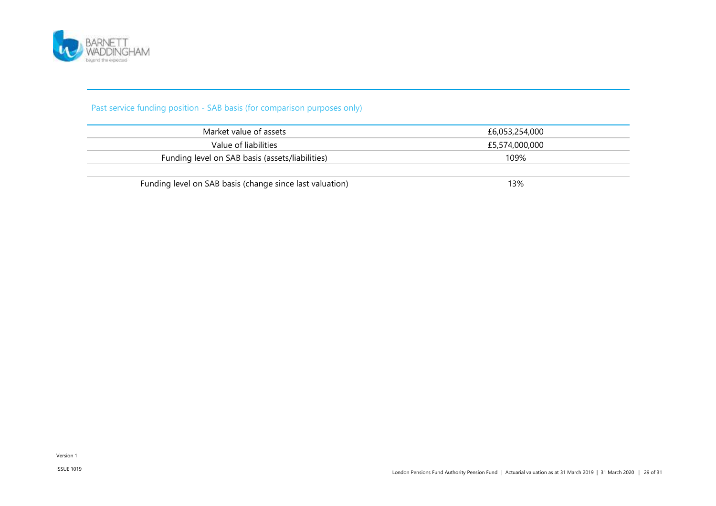

### Past service funding position - SAB basis (for comparison purposes only)

| £6.053.254.000 |
|----------------|
| £5,574,000,000 |
| 109%           |
|                |

Funding level on SAB basis (change since last valuation) 13%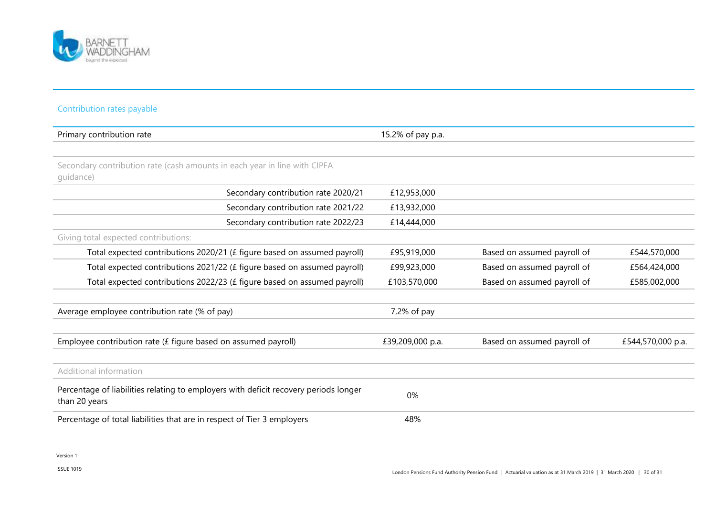

#### Contribution rates payable

| Primary contribution rate                                                                             | 15.2% of pay p.a. |                             |                   |
|-------------------------------------------------------------------------------------------------------|-------------------|-----------------------------|-------------------|
|                                                                                                       |                   |                             |                   |
| Secondary contribution rate (cash amounts in each year in line with CIPFA<br>quidance)                |                   |                             |                   |
| Secondary contribution rate 2020/21                                                                   | £12,953,000       |                             |                   |
| Secondary contribution rate 2021/22                                                                   | £13,932,000       |                             |                   |
| Secondary contribution rate 2022/23                                                                   | £14,444,000       |                             |                   |
| Giving total expected contributions:                                                                  |                   |                             |                   |
| Total expected contributions 2020/21 (£ figure based on assumed payroll)                              | £95,919,000       | Based on assumed payroll of | £544,570,000      |
| Total expected contributions 2021/22 (£ figure based on assumed payroll)                              | £99,923,000       | Based on assumed payroll of | £564,424,000      |
| Total expected contributions 2022/23 (£ figure based on assumed payroll)                              | £103,570,000      | Based on assumed payroll of | £585,002,000      |
|                                                                                                       |                   |                             |                   |
| Average employee contribution rate (% of pay)                                                         | 7.2% of pay       |                             |                   |
|                                                                                                       |                   |                             |                   |
| Employee contribution rate (£ figure based on assumed payroll)                                        | £39,209,000 p.a.  | Based on assumed payroll of | £544,570,000 p.a. |
|                                                                                                       |                   |                             |                   |
| Additional information                                                                                |                   |                             |                   |
| Percentage of liabilities relating to employers with deficit recovery periods longer<br>than 20 years | 0%                |                             |                   |
| Percentage of total liabilities that are in respect of Tier 3 employers                               | 48%               |                             |                   |